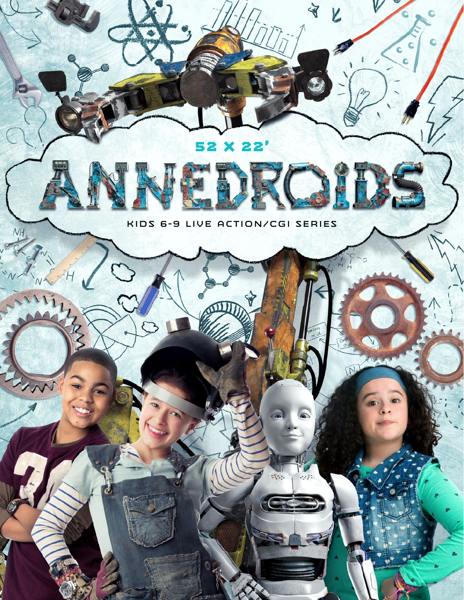